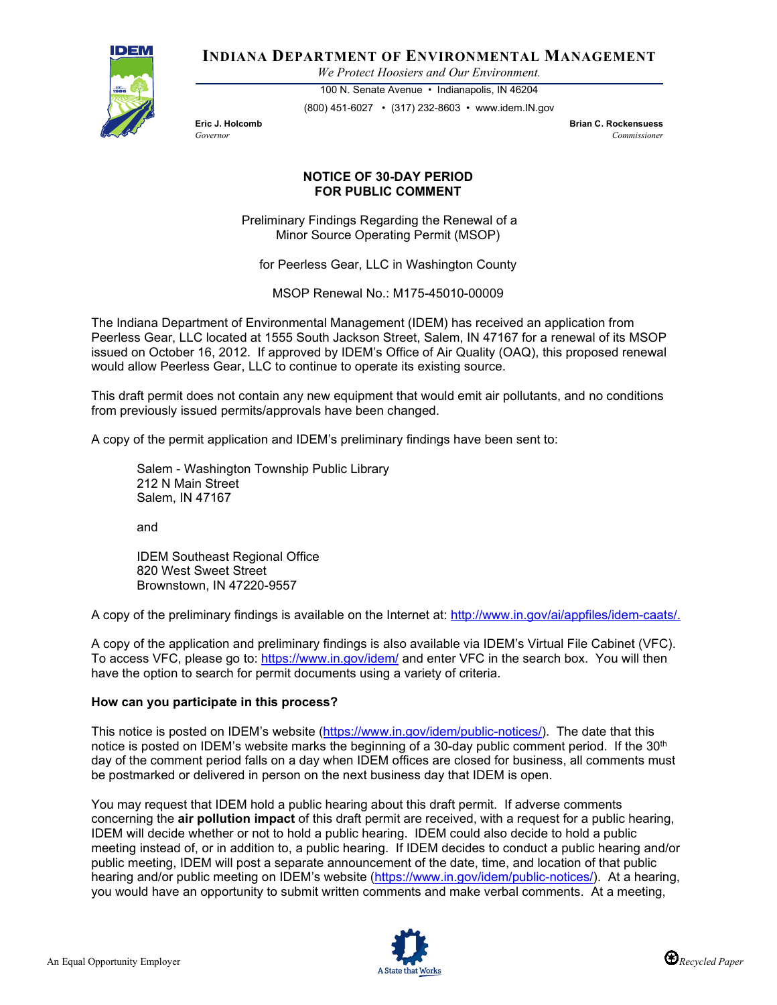

**INDIANA DEPARTMENT OF ENVIRONMENTAL MANAGEMENT**

*We Protect Hoosiers and Our Environment.*

100 N. Senate Avenue • Indianapolis, IN 46204 (800) 451-6027 • (317) 232-8603 • www.idem.IN.gov

**Eric J. Holcomb Brian C. Rockensuess** *Governor Commissioner* 

## **NOTICE OF 30-DAY PERIOD FOR PUBLIC COMMENT**

Preliminary Findings Regarding the Renewal of a Minor Source Operating Permit (MSOP)

for Peerless Gear, LLC in Washington County

MSOP Renewal No.: M175-45010-00009

The Indiana Department of Environmental Management (IDEM) has received an application from Peerless Gear, LLC located at 1555 South Jackson Street, Salem, IN 47167 for a renewal of its MSOP issued on October 16, 2012. If approved by IDEM's Office of Air Quality (OAQ), this proposed renewal would allow Peerless Gear, LLC to continue to operate its existing source.

This draft permit does not contain any new equipment that would emit air pollutants, and no conditions from previously issued permits/approvals have been changed.

A copy of the permit application and IDEM's preliminary findings have been sent to:

Salem - Washington Township Public Library 212 N Main Street Salem, IN 47167

and

IDEM Southeast Regional Office 820 West Sweet Street Brownstown, IN 47220-9557

A copy of the preliminary findings is available on the Internet at: [http://www.in.gov/ai/appfiles/idem-caats/.](http://www.in.gov/ai/appfiles/idem-caats/)

A copy of the application and preliminary findings is also available via IDEM's Virtual File Cabinet (VFC). To access VFC, please go to:<https://www.in.gov/idem/> and enter VFC in the search box. You will then have the option to search for permit documents using a variety of criteria.

## **How can you participate in this process?**

This notice is posted on IDEM's website [\(https://www.in.gov/idem/public-notices/\)](https://www.in.gov/idem/public-notices/). The date that this notice is posted on IDEM's website marks the beginning of a 30-day public comment period. If the  $30<sup>th</sup>$ day of the comment period falls on a day when IDEM offices are closed for business, all comments must be postmarked or delivered in person on the next business day that IDEM is open.

You may request that IDEM hold a public hearing about this draft permit. If adverse comments concerning the **air pollution impact** of this draft permit are received, with a request for a public hearing, IDEM will decide whether or not to hold a public hearing. IDEM could also decide to hold a public meeting instead of, or in addition to, a public hearing. If IDEM decides to conduct a public hearing and/or public meeting, IDEM will post a separate announcement of the date, time, and location of that public hearing and/or public meeting on IDEM's website [\(https://www.in.gov/idem/public-notices/\)](https://www.in.gov/idem/public-notices/). At a hearing, you would have an opportunity to submit written comments and make verbal comments. At a meeting,